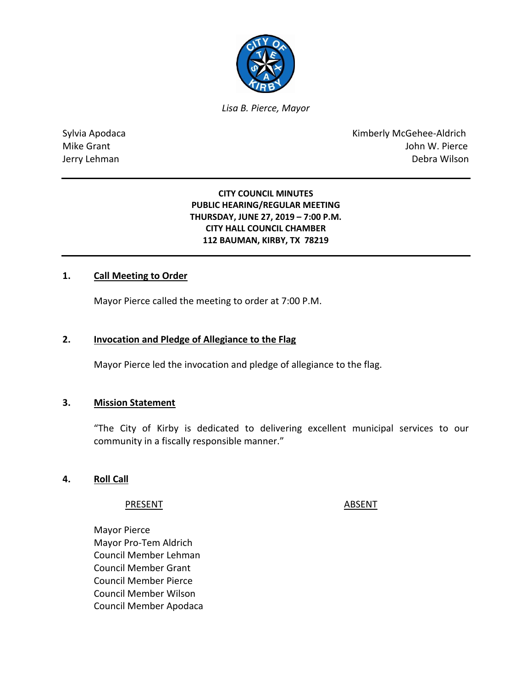

*Lisa B. Pierce, Mayor* 

Sylvia Apodaca **Kimberly McGehee-Aldrich** Mike Grant John W. Pierce Jerry Lehman Debra Wilson

> **CITY COUNCIL MINUTES PUBLIC HEARING/REGULAR MEETING THURSDAY, JUNE 27, 2019 – 7:00 P.M. CITY HALL COUNCIL CHAMBER 112 BAUMAN, KIRBY, TX 78219**

### **1. Call Meeting to Order**

Mayor Pierce called the meeting to order at 7:00 P.M.

#### **2. Invocation and Pledge of Allegiance to the Flag**

Mayor Pierce led the invocation and pledge of allegiance to the flag.

### **3. Mission Statement**

"The City of Kirby is dedicated to delivering excellent municipal services to our community in a fiscally responsible manner."

### **4. Roll Call**

#### PRESENT ABSENT

Mayor Pierce Mayor Pro-Tem Aldrich Council Member Lehman Council Member Grant Council Member Pierce Council Member Wilson Council Member Apodaca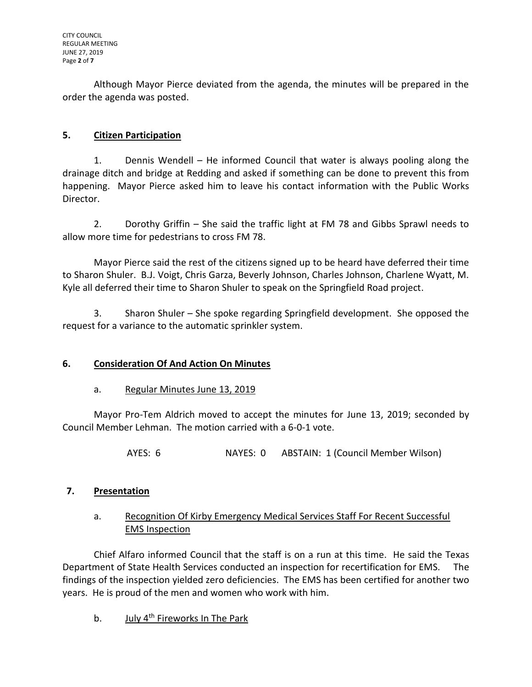Although Mayor Pierce deviated from the agenda, the minutes will be prepared in the order the agenda was posted.

## **5. Citizen Participation**

1. Dennis Wendell – He informed Council that water is always pooling along the drainage ditch and bridge at Redding and asked if something can be done to prevent this from happening. Mayor Pierce asked him to leave his contact information with the Public Works Director.

2. Dorothy Griffin – She said the traffic light at FM 78 and Gibbs Sprawl needs to allow more time for pedestrians to cross FM 78.

Mayor Pierce said the rest of the citizens signed up to be heard have deferred their time to Sharon Shuler. B.J. Voigt, Chris Garza, Beverly Johnson, Charles Johnson, Charlene Wyatt, M. Kyle all deferred their time to Sharon Shuler to speak on the Springfield Road project.

3. Sharon Shuler – She spoke regarding Springfield development. She opposed the request for a variance to the automatic sprinkler system.

## **6. Consideration Of And Action On Minutes**

## a. Regular Minutes June 13, 2019

Mayor Pro-Tem Aldrich moved to accept the minutes for June 13, 2019; seconded by Council Member Lehman. The motion carried with a 6-0-1 vote.

AYES: 6 NAYES: 0 ABSTAIN: 1 (Council Member Wilson)

# **7. Presentation**

## a. Recognition Of Kirby Emergency Medical Services Staff For Recent Successful EMS Inspection

Chief Alfaro informed Council that the staff is on a run at this time. He said the Texas Department of State Health Services conducted an inspection for recertification for EMS. The findings of the inspection yielded zero deficiencies. The EMS has been certified for another two years. He is proud of the men and women who work with him.

b. July 4<sup>th</sup> Fireworks In The Park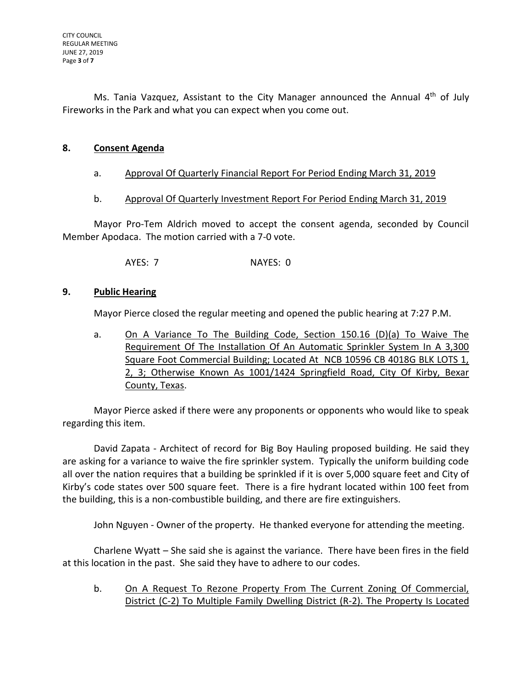Ms. Tania Vazquez, Assistant to the City Manager announced the Annual  $4<sup>th</sup>$  of July Fireworks in the Park and what you can expect when you come out.

## **8. Consent Agenda**

### a. Approval Of Quarterly Financial Report For Period Ending March 31, 2019

### b. Approval Of Quarterly Investment Report For Period Ending March 31, 2019

Mayor Pro-Tem Aldrich moved to accept the consent agenda, seconded by Council Member Apodaca. The motion carried with a 7-0 vote.

AYES: 7 NAYES: 0

## **9. Public Hearing**

Mayor Pierce closed the regular meeting and opened the public hearing at 7:27 P.M.

a. On A Variance To The Building Code, Section 150.16 (D)(a) To Waive The Requirement Of The Installation Of An Automatic Sprinkler System In A 3,300 Square Foot Commercial Building; Located At NCB 10596 CB 4018G BLK LOTS 1, 2, 3; Otherwise Known As 1001/1424 Springfield Road, City Of Kirby, Bexar County, Texas.

Mayor Pierce asked if there were any proponents or opponents who would like to speak regarding this item.

David Zapata - Architect of record for Big Boy Hauling proposed building. He said they are asking for a variance to waive the fire sprinkler system. Typically the uniform building code all over the nation requires that a building be sprinkled if it is over 5,000 square feet and City of Kirby's code states over 500 square feet. There is a fire hydrant located within 100 feet from the building, this is a non-combustible building, and there are fire extinguishers.

John Nguyen - Owner of the property. He thanked everyone for attending the meeting.

Charlene Wyatt – She said she is against the variance. There have been fires in the field at this location in the past. She said they have to adhere to our codes.

b. On A Request To Rezone Property From The Current Zoning Of Commercial, District (C-2) To Multiple Family Dwelling District (R-2). The Property Is Located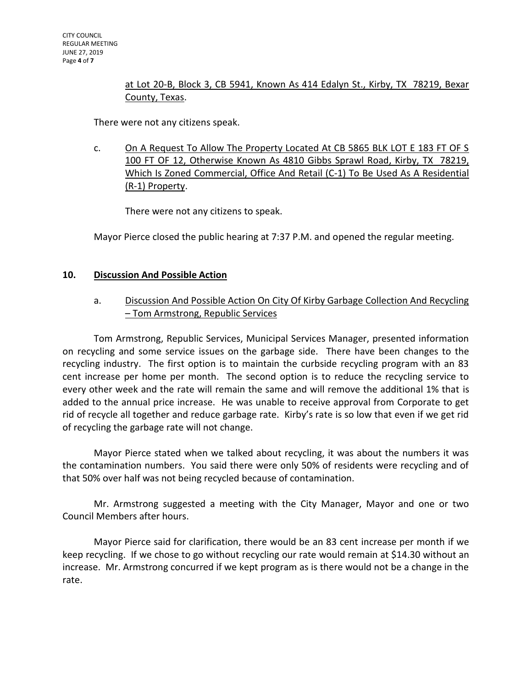## at Lot 20-B, Block 3, CB 5941, Known As 414 Edalyn St., Kirby, TX 78219, Bexar County, Texas.

There were not any citizens speak.

c. On A Request To Allow The Property Located At CB 5865 BLK LOT E 183 FT OF S 100 FT OF 12, Otherwise Known As 4810 Gibbs Sprawl Road, Kirby, TX 78219, Which Is Zoned Commercial, Office And Retail (C-1) To Be Used As A Residential (R-1) Property.

There were not any citizens to speak.

Mayor Pierce closed the public hearing at 7:37 P.M. and opened the regular meeting.

## **10. Discussion And Possible Action**

## a. Discussion And Possible Action On City Of Kirby Garbage Collection And Recycling – Tom Armstrong, Republic Services

Tom Armstrong, Republic Services, Municipal Services Manager, presented information on recycling and some service issues on the garbage side. There have been changes to the recycling industry. The first option is to maintain the curbside recycling program with an 83 cent increase per home per month. The second option is to reduce the recycling service to every other week and the rate will remain the same and will remove the additional 1% that is added to the annual price increase. He was unable to receive approval from Corporate to get rid of recycle all together and reduce garbage rate. Kirby's rate is so low that even if we get rid of recycling the garbage rate will not change.

Mayor Pierce stated when we talked about recycling, it was about the numbers it was the contamination numbers. You said there were only 50% of residents were recycling and of that 50% over half was not being recycled because of contamination.

Mr. Armstrong suggested a meeting with the City Manager, Mayor and one or two Council Members after hours.

Mayor Pierce said for clarification, there would be an 83 cent increase per month if we keep recycling. If we chose to go without recycling our rate would remain at \$14.30 without an increase. Mr. Armstrong concurred if we kept program as is there would not be a change in the rate.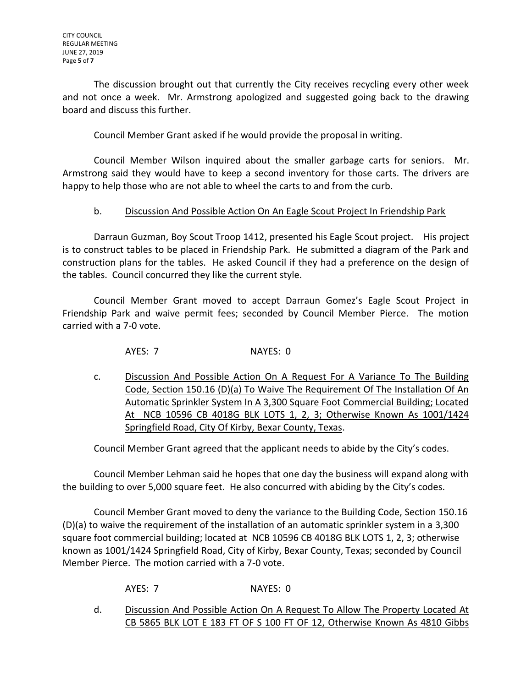The discussion brought out that currently the City receives recycling every other week and not once a week. Mr. Armstrong apologized and suggested going back to the drawing board and discuss this further.

Council Member Grant asked if he would provide the proposal in writing.

Council Member Wilson inquired about the smaller garbage carts for seniors. Mr. Armstrong said they would have to keep a second inventory for those carts. The drivers are happy to help those who are not able to wheel the carts to and from the curb.

## b. Discussion And Possible Action On An Eagle Scout Project In Friendship Park

Darraun Guzman, Boy Scout Troop 1412, presented his Eagle Scout project. His project is to construct tables to be placed in Friendship Park. He submitted a diagram of the Park and construction plans for the tables. He asked Council if they had a preference on the design of the tables. Council concurred they like the current style.

Council Member Grant moved to accept Darraun Gomez's Eagle Scout Project in Friendship Park and waive permit fees; seconded by Council Member Pierce. The motion carried with a 7-0 vote.

AYES: 7 NAYES: 0

c. Discussion And Possible Action On A Request For A Variance To The Building Code, Section 150.16 (D)(a) To Waive The Requirement Of The Installation Of An Automatic Sprinkler System In A 3,300 Square Foot Commercial Building; Located At NCB 10596 CB 4018G BLK LOTS 1, 2, 3; Otherwise Known As 1001/1424 Springfield Road, City Of Kirby, Bexar County, Texas.

Council Member Grant agreed that the applicant needs to abide by the City's codes.

Council Member Lehman said he hopes that one day the business will expand along with the building to over 5,000 square feet. He also concurred with abiding by the City's codes.

Council Member Grant moved to deny the variance to the Building Code, Section 150.16 (D)(a) to waive the requirement of the installation of an automatic sprinkler system in a 3,300 square foot commercial building; located at NCB 10596 CB 4018G BLK LOTS 1, 2, 3; otherwise known as 1001/1424 Springfield Road, City of Kirby, Bexar County, Texas; seconded by Council Member Pierce. The motion carried with a 7-0 vote.

AYES: 7 NAYES: 0

d. Discussion And Possible Action On A Request To Allow The Property Located At CB 5865 BLK LOT E 183 FT OF S 100 FT OF 12, Otherwise Known As 4810 Gibbs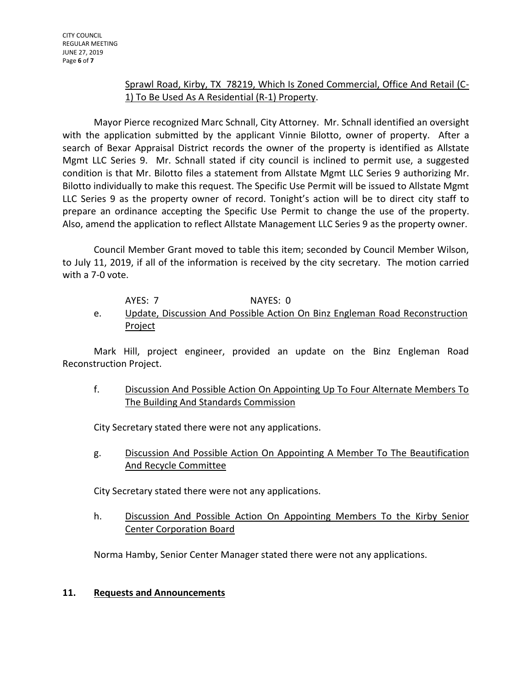## Sprawl Road, Kirby, TX 78219, Which Is Zoned Commercial, Office And Retail (C-1) To Be Used As A Residential (R-1) Property.

Mayor Pierce recognized Marc Schnall, City Attorney. Mr. Schnall identified an oversight with the application submitted by the applicant Vinnie Bilotto, owner of property. After a search of Bexar Appraisal District records the owner of the property is identified as Allstate Mgmt LLC Series 9. Mr. Schnall stated if city council is inclined to permit use, a suggested condition is that Mr. Bilotto files a statement from Allstate Mgmt LLC Series 9 authorizing Mr. Bilotto individually to make this request. The Specific Use Permit will be issued to Allstate Mgmt LLC Series 9 as the property owner of record. Tonight's action will be to direct city staff to prepare an ordinance accepting the Specific Use Permit to change the use of the property. Also, amend the application to reflect Allstate Management LLC Series 9 as the property owner.

Council Member Grant moved to table this item; seconded by Council Member Wilson, to July 11, 2019, if all of the information is received by the city secretary. The motion carried with a 7-0 vote.

## AYES: 7 NAYES: 0

e. Update, Discussion And Possible Action On Binz Engleman Road Reconstruction **Project** 

Mark Hill, project engineer, provided an update on the Binz Engleman Road Reconstruction Project.

f. Discussion And Possible Action On Appointing Up To Four Alternate Members To The Building And Standards Commission

City Secretary stated there were not any applications.

g. Discussion And Possible Action On Appointing A Member To The Beautification And Recycle Committee

City Secretary stated there were not any applications.

h. Discussion And Possible Action On Appointing Members To the Kirby Senior Center Corporation Board

Norma Hamby, Senior Center Manager stated there were not any applications.

## **11. Requests and Announcements**